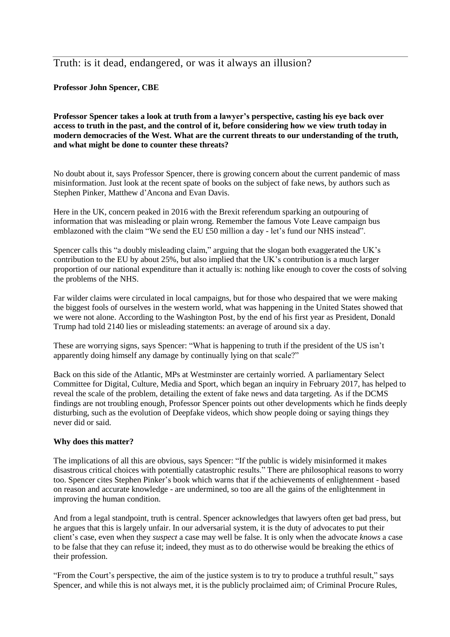# Truth: is it dead, endangered, or was it always an illusion?

## **Professor John Spencer, CBE**

**Professor Spencer takes a look at truth from a lawyer's perspective, casting his eye back over** access to truth in the past, and the control of it, before considering how we view truth today in **modern democracies of the West. What are the current threats to our understanding of the truth, and what might be done to counter these threats?**

No doubt about it, says Professor Spencer, there is growing concern about the current pandemic of mass misinformation. Just look at the recent spate of books on the subject of fake news, by authors such as Stephen Pinker, Matthew d'Ancona and Evan Davis.

Here in the UK, concern peaked in 2016 with the Brexit referendum sparking an outpouring of information that was misleading or plain wrong. Remember the famous Vote Leave campaign bus emblazoned with the claim "We send the EU £50 million a day - let's fund our NHS instead".

Spencer calls this "a doubly misleading claim," arguing that the slogan both exaggerated the UK's contribution to the EU by about 25%, but also implied that the UK's contribution is a much larger proportion of our national expenditure than it actually is: nothing like enough to cover the costs of solving the problems of the NHS.

Far wilder claims were circulated in local campaigns, but for those who despaired that we were making the biggest fools of ourselves in the western world, what was happening in the United States showed that we were not alone. According to the Washington Post, by the end of his first year as President, Donald Trump had told 2140 lies or misleading statements: an average of around six a day.

These are worrying signs, says Spencer: "What is happening to truth if the president of the US isn't apparently doing himself any damage by continually lying on that scale?"

Back on this side of the Atlantic, MPs at Westminster are certainly worried. A parliamentary Select Committee for Digital, Culture, Media and Sport, which began an inquiry in February 2017, has helped to reveal the scale of the problem, detailing the extent of fake news and data targeting. As if the DCMS findings are not troubling enough, Professor Spencer points out other developments which he finds deeply disturbing, such as the evolution of Deepfake videos, which show people doing or saying things they never did or said.

#### **Why does this matter?**

The implications of all this are obvious, says Spencer: "If the public is widely misinformed it makes disastrous critical choices with potentially catastrophic results." There are philosophical reasons to worry too. Spencer cites Stephen Pinker's book which warns that if the achievements of enlightenment - based on reason and accurate knowledge - are undermined, so too are all the gains of the enlightenment in improving the human condition.

And from a legal standpoint, truth is central. Spencer acknowledges that lawyers often get bad press, but he argues that this is largely unfair. In our adversarial system, it is the duty of advocates to put their client's case, even when they *suspect* a case may well be false. It is only when the advocate *knows* a case to be false that they can refuse it; indeed, they must as to do otherwise would be breaking the ethics of their profession.

"From the Court's perspective, the aim of the justice system is to try to produce a truthful result," says Spencer, and while this is not always met, it is the publicly proclaimed aim; of Criminal Procure Rules,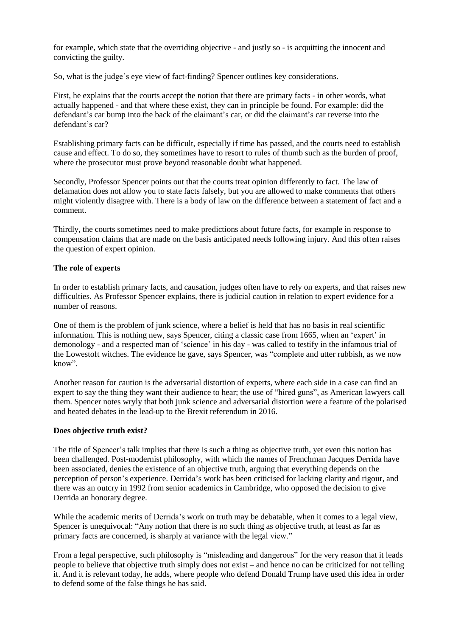for example, which state that the overriding objective - and justly so - is acquitting the innocent and convicting the guilty.

So, what is the judge's eye view of fact-finding? Spencer outlines key considerations.

First, he explains that the courts accept the notion that there are primary facts - in other words, what actually happened - and that where these exist, they can in principle be found. For example: did the defendant's car bump into the back of the claimant's car, or did the claimant's car reverse into the defendant's car?

Establishing primary facts can be difficult, especially if time has passed, and the courts need to establish cause and effect. To do so, they sometimes have to resort to rules of thumb such as the burden of proof, where the prosecutor must prove beyond reasonable doubt what happened.

Secondly, Professor Spencer points out that the courts treat opinion differently to fact. The law of defamation does not allow you to state facts falsely, but you are allowed to make comments that others might violently disagree with. There is a body of law on the difference between a statement of fact and a comment.

Thirdly, the courts sometimes need to make predictions about future facts, for example in response to compensation claims that are made on the basis anticipated needs following injury. And this often raises the question of expert opinion.

## **The role of experts**

In order to establish primary facts, and causation, judges often have to rely on experts, and that raises new difficulties. As Professor Spencer explains, there is judicial caution in relation to expert evidence for a number of reasons.

One of them is the problem of junk science, where a belief is held that has no basis in real scientific information. This is nothing new, says Spencer, citing a classic case from 1665, when an 'expert' in demonology - and a respected man of 'science' in his day - was called to testify in the infamous trial of the Lowestoft witches. The evidence he gave, says Spencer, was "complete and utter rubbish, as we now know".

Another reason for caution is the adversarial distortion of experts, where each side in a case can find an expert to say the thing they want their audience to hear; the use of "hired guns", as American lawyers call them. Spencer notes wryly that both junk science and adversarial distortion were a feature of the polarised and heated debates in the lead-up to the Brexit referendum in 2016.

#### **Does objective truth exist?**

The title of Spencer's talk implies that there is such a thing as objective truth, yet even this notion has been challenged. Post-modernist philosophy, with which the names of Frenchman Jacques Derrida have been associated, denies the existence of an objective truth, arguing that everything depends on the perception of person's experience. Derrida's work has been criticised for lacking clarity and rigour, and there was an outcry in 1992 from senior academics in Cambridge, who opposed the decision to give Derrida an honorary degree.

While the academic merits of Derrida's work on truth may be debatable, when it comes to a legal view, Spencer is unequivocal: "Any notion that there is no such thing as objective truth, at least as far as primary facts are concerned, is sharply at variance with the legal view."

From a legal perspective, such philosophy is "misleading and dangerous" for the very reason that it leads people to believe that objective truth simply does not exist – and hence no can be criticized for not telling it. And it is relevant today, he adds, where people who defend Donald Trump have used this idea in order to defend some of the false things he has said.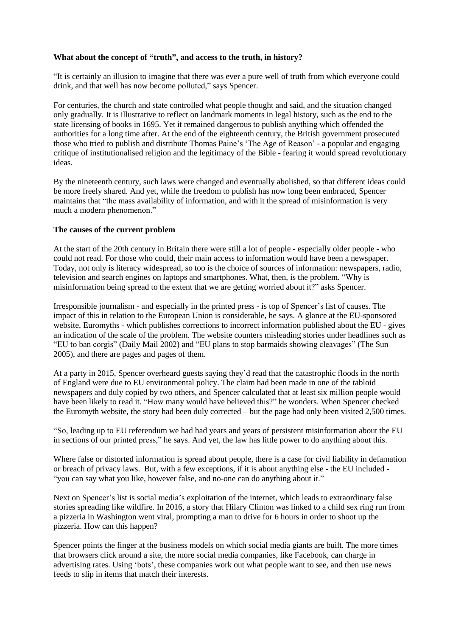## **What about the concept of "truth", and access to the truth, in history?**

"It is certainly an illusion to imagine that there was ever a pure well of truth from which everyone could drink, and that well has now become polluted," says Spencer.

For centuries, the church and state controlled what people thought and said, and the situation changed only gradually. It is illustrative to reflect on landmark moments in legal history, such as the end to the state licensing of books in 1695. Yet it remained dangerous to publish anything which offended the authorities for a long time after. At the end of the eighteenth century, the British government prosecuted those who tried to publish and distribute Thomas Paine's 'The Age of Reason' - a popular and engaging critique of institutionalised religion and the legitimacy of the Bible - fearing it would spread revolutionary ideas.

By the nineteenth century, such laws were changed and eventually abolished, so that different ideas could be more freely shared. And yet, while the freedom to publish has now long been embraced, Spencer maintains that "the mass availability of information, and with it the spread of misinformation is very much a modern phenomenon."

## **The causes of the current problem**

At the start of the 20th century in Britain there were still a lot of people - especially older people - who could not read. For those who could, their main access to information would have been a newspaper. Today, not only is literacy widespread, so too is the choice of sources of information: newspapers, radio, television and search engines on laptops and smartphones. What, then, is the problem. "Why is misinformation being spread to the extent that we are getting worried about it?" asks Spencer.

Irresponsible journalism - and especially in the printed press - is top of Spencer's list of causes. The impact of this in relation to the European Union is considerable, he says. A glance at the EU-sponsored website, Euromyths - which publishes corrections to incorrect information published about the EU - gives an indication of the scale of the problem. The website counters misleading stories under headlines such as "EU to ban corgis" (Daily Mail 2002) and "EU plans to stop barmaids showing cleavages" (The Sun 2005), and there are pages and pages of them.

At a party in 2015, Spencer overheard guests saying they'd read that the catastrophic floods in the north of England were due to EU environmental policy. The claim had been made in one of the tabloid newspapers and duly copied by two others, and Spencer calculated that at least six million people would have been likely to read it. "How many would have believed this?" he wonders. When Spencer checked the Euromyth website, the story had been duly corrected – but the page had only been visited 2,500 times.

"So, leading up to EU referendum we had had years and years of persistent misinformation about the EU in sections of our printed press," he says. And yet, the law has little power to do anything about this.

Where false or distorted information is spread about people, there is a case for civil liability in defamation or breach of privacy laws. But, with a few exceptions, if it is about anything else - the EU included - "you can say what you like, however false, and no-one can do anything about it."

Next on Spencer's list is social media's exploitation of the internet, which leads to extraordinary false stories spreading like wildfire. In 2016, a story that Hilary Clinton was linked to a child sex ring run from a pizzeria in Washington went viral, prompting a man to drive for 6 hours in order to shoot up the pizzeria. How can this happen?

Spencer points the finger at the business models on which social media giants are built. The more times that browsers click around a site, the more social media companies, like Facebook, can charge in advertising rates. Using 'bots', these companies work out what people want to see, and then use news feeds to slip in items that match their interests.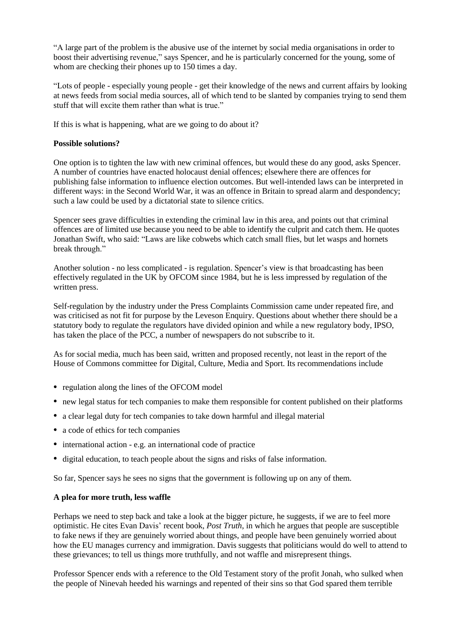"A large part of the problem is the abusive use of the internet by social media organisations in order to boost their advertising revenue," says Spencer, and he is particularly concerned for the young, some of whom are checking their phones up to 150 times a day.

"Lots of people - especially young people - get their knowledge of the news and current affairs by looking at news feeds from social media sources, all of which tend to be slanted by companies trying to send them stuff that will excite them rather than what is true."

If this is what is happening, what are we going to do about it?

## **Possible solutions?**

One option is to tighten the law with new criminal offences, but would these do any good, asks Spencer. A number of countries have enacted holocaust denial offences; elsewhere there are offences for publishing false information to influence election outcomes. But well-intended laws can be interpreted in different ways: in the Second World War, it was an offence in Britain to spread alarm and despondency; such a law could be used by a dictatorial state to silence critics.

Spencer sees grave difficulties in extending the criminal law in this area, and points out that criminal offences are of limited use because you need to be able to identify the culprit and catch them. He quotes Jonathan Swift, who said: "Laws are like cobwebs which catch small flies, but let wasps and hornets break through."

Another solution - no less complicated - is regulation. Spencer's view is that broadcasting has been effectively regulated in the UK by OFCOM since 1984, but he is less impressed by regulation of the written press.

Self-regulation by the industry under the Press Complaints Commission came under repeated fire, and was criticised as not fit for purpose by the Leveson Enquiry. Questions about whether there should be a statutory body to regulate the regulators have divided opinion and while a new regulatory body, IPSO, has taken the place of the PCC, a number of newspapers do not subscribe to it.

As for social media, much has been said, written and proposed recently, not least in the report of the House of Commons committee for Digital, Culture, Media and Sport. Its recommendations include

- regulation along the lines of the OFCOM model
- new legal status for tech companies to make them responsible for content published on their platforms
- a clear legal duty for tech companies to take down harmful and illegal material
- a code of ethics for tech companies
- international action e.g. an international code of practice
- digital education, to teach people about the signs and risks of false information.

So far, Spencer says he sees no signs that the government is following up on any of them.

#### **A plea for more truth, less waffle**

Perhaps we need to step back and take a look at the bigger picture, he suggests, if we are to feel more optimistic. He cites Evan Davis' recent book, *Post Truth*, in which he argues that people are susceptible to fake news if they are genuinely worried about things, and people have been genuinely worried about how the EU manages currency and immigration. Davis suggests that politicians would do well to attend to these grievances; to tell us things more truthfully, and not waffle and misrepresent things.

Professor Spencer ends with a reference to the Old Testament story of the profit Jonah, who sulked when the people of Ninevah heeded his warnings and repented of their sins so that God spared them terrible